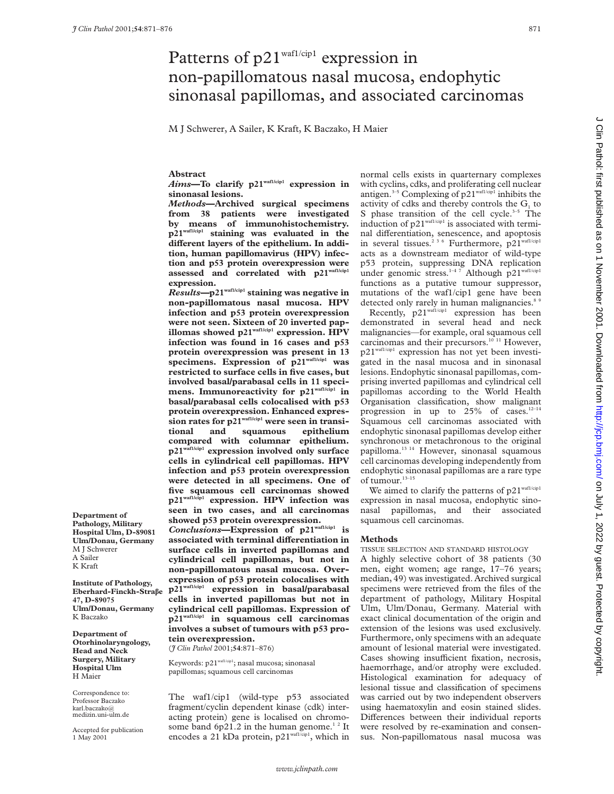# Patterns of  $p21^{\text{waf1/cip1}}$  expression in non-papillomatous nasal mucosa, endophytic sinonasal papillomas, and associated carcinomas

M J Schwerer, A Sailer, K Kraft, K Baczako, H Maier

**Abstract**

*Aims***—To clarify p21waf1/cip1 expression in sinonasal lesions.**

*Methods***—Archived surgical specimens from 38 patients were investigated by means of immunohistochemistry. p21waf1/cip1 staining was evaluated in the** different layers of the epithelium. In addi**tion, human papillomavirus (HPV) infection and p53 protein overexpression were assessed and correlated with p21waf1/cip1 expression.**

*Results—***p21waf1/cip1 staining was negative in non-papillomatous nasal mucosa. HPV infection and p53 protein overexpression were not seen. Sixteen of 20 inverted papillomas showed p21waf1/cip1 expression. HPV infection was found in 16 cases and p53 protein overexpression was present in 13 specimens. Expression of p21waf1/cip1 was restricted to surface cells in five cases, but involved basal/parabasal cells in 11 specimens. Immunoreactivity for p21waf1/cip1 in basal/parabasal cells colocalised with p53 protein overexpression. Enhanced expres**sion rates for p21<sup>waf1/cip1</sup> were seen in transitional and squamous epithelium **tional and squamous epithelium compared with columnar epithelium. p21waf1/cip1 expression involved only surface cells in cylindrical cell papillomas. HPV infection and p53 protein overexpression were detected in all specimens. One of five squamous cell carcinomas showed p21waf1/cip1 expression. HPV infection was seen in two cases, and all carcinomas showed p53 protein overexpression.**

*Conclusions***—Expression of p21waf1/cip1 is associated with terminal diVerentiation in surface cells in inverted papillomas and cylindrical cell papillomas, but not in non-papillomatous nasal mucosa. Overexpression of p53 protein colocalises with p21waf1/cip1 expression in basal/parabasal cells in inverted papillomas but not in cylindrical cell papillomas. Expression of p21waf1/cip1 in squamous cell carcinomas involves a subset of tumours with p53 protein overexpression.**

(*J Clin Pathol* 2001;**54**:871–876)

Keywords: p21waf1/cip1; nasal mucosa; sinonasal papillomas; squamous cell carcinomas

The waf1/cip1 (wild-type p53 associated fragment/cyclin dependent kinase (cdk) interacting protein) gene is localised on chromosome band 6p21.2 in the human genome.<sup>12</sup> It encodes a 21 kDa protein,  $p21^{\text{waff/cipl}}$ , which in normal cells exists in quarternary complexes with cyclins, cdks, and proliferating cell nuclear antigen.3–5 Complexing of p21waf1/cip1 inhibits the activity of cdks and thereby controls the  $G<sub>i</sub>$  to S phase transition of the cell cycle. $3-5$  The induction of  $p21^{\text{waf1/cip1}}$  is associated with terminal differentiation, senescence, and apoptosis in several tissues.<sup>236</sup> Furthermore, p21<sup>waf1/cip1</sup> acts as a downstream mediator of wild-type p53 protein, suppressing DNA replication under genomic stress.<sup>1-4 7</sup> Although p21<sup>waf1/cip1</sup> functions as a putative tumour suppressor, mutations of the waf1/cip1 gene have been detected only rarely in human malignancies.<sup>8</sup>

Recently, p21<sup>waf1/cip1</sup> expression has been demonstrated in several head and neck malignancies—for example, oral squamous cell carcinomas and their precursors.<sup>10 11</sup> However, p21waf1/cip1 expression has not yet been investigated in the nasal mucosa and in sinonasal lesions. Endophytic sinonasal papillomas, comprising inverted papillomas and cylindrical cell papillomas according to the World Health Organisation classification, show malignant progression in up to  $25\%$  of cases.<sup>12-14</sup> Squamous cell carcinomas associated with endophytic sinonasal papillomas develop either synchronous or metachronous to the original papilloma.<sup>13 14</sup> However, sinonasal squamous cell carcinomas developing independently from endophytic sinonasal papillomas are a rare type of tumour. $^{\rm 13-15}$ 

We aimed to clarify the patterns of  $p21^{\text{waf1/cip1}}$ expression in nasal mucosa, endophytic sinonasal papillomas, and their associated squamous cell carcinomas.

#### **Methods**

TISSUE SELECTION AND STANDARD HISTOLOGY

A highly selective cohort of 38 patients (30 men, eight women; age range, 17–76 years; median, 49) was investigated. Archived surgical specimens were retrieved from the files of the department of pathology, Military Hospital Ulm, Ulm/Donau, Germany. Material with exact clinical documentation of the origin and extension of the lesions was used exclusively. Furthermore, only specimens with an adequate amount of lesional material were investigated. Cases showing insufficient fixation, necrosis, haemorrhage, and/or atrophy were excluded. Histological examination for adequacy of lesional tissue and classification of specimens was carried out by two independent observers using haematoxylin and eosin stained slides. Differences between their individual reports were resolved by re-examination and consensus. Non-papillomatous nasal mucosa was

**Pathology, Military Hospital Ulm, D-89081 Ulm/Donau, Germany**

**Institute of Pathology, Eberhard-Finckh-Straâe 47, D-89075 Ulm/Donau, Germany** K Baczako

**Department of**

M J Schwerer A Sailer K Kraft

**Department of Otorhinolaryngology, Head and Neck Surgery, Military Hospital Ulm** H Maier

Correspondence to: Professor Baczako karl.baczako@ medizin.uni-ulm.de

Accepted for publication 1 May 2001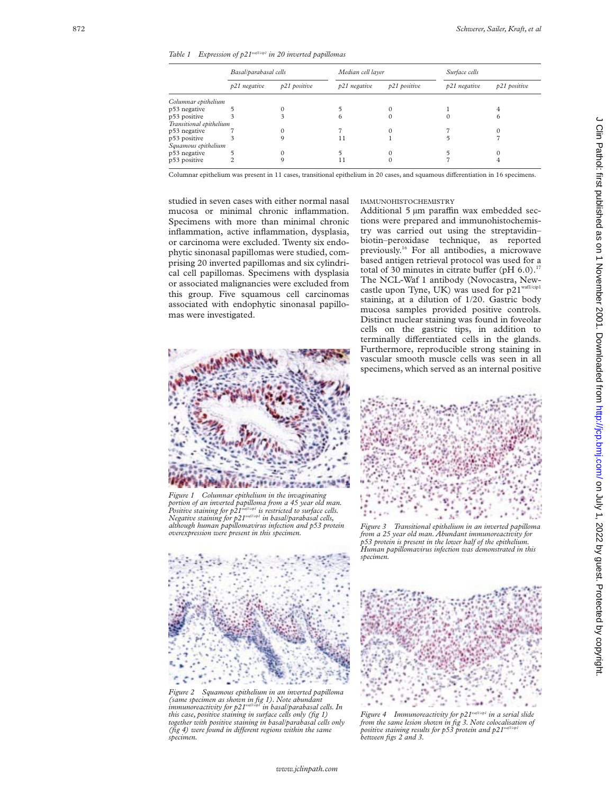*Table 1 Expression of p21waf1/cip1 in 20 inverted papillomas*

|                         | Basal/parabasal cells |              | Median cell layer |              | Surface cells |              |  |
|-------------------------|-----------------------|--------------|-------------------|--------------|---------------|--------------|--|
|                         | p21 negative          | p21 positive | p21 negative      | p21 positive | p21 negative  | p21 positive |  |
| Columnar epithelium     |                       |              |                   |              |               |              |  |
| p53 negative            |                       |              |                   |              |               |              |  |
| p53 positive            |                       |              | 6                 |              |               | o            |  |
| Transitional epithelium |                       |              |                   |              |               |              |  |
| p53 negative            |                       |              |                   |              |               |              |  |
| p53 positive            |                       |              |                   |              |               |              |  |
| Squamous epithelium     |                       |              |                   |              |               |              |  |
| p53 negative            |                       |              |                   |              |               |              |  |
| p53 positive            |                       |              |                   |              |               |              |  |
|                         |                       |              |                   |              |               |              |  |

Columnar epithelium was present in 11 cases, transitional epithelium in 20 cases, and squamous differentiation in 16 specimens.

studied in seven cases with either normal nasal mucosa or minimal chronic inflammation. Specimens with more than minimal chronic inflammation, active inflammation, dysplasia, or carcinoma were excluded. Twenty six endophytic sinonasal papillomas were studied, comprising 20 inverted papillomas and six cylindrical cell papillomas. Specimens with dysplasia or associated malignancies were excluded from this group. Five squamous cell carcinomas associated with endophytic sinonasal papillomas were investigated.



*Figure 1 Columnar epithelium in the invaginating portion of an inverted papilloma from a 45 year old man. Positive staining for p21waf1/cip1 is restricted to surface cells. Negative staining for p21waf1/cip1 in basal/parabasal cells, although human papillomavirus infection and p53 protein overexpression were present in this specimen.*



*Figure 2 Squamous epithelium in an inverted papilloma (same specimen as shown in fig 1). Note abundant immunoreactivity for p21waf1/cip1 in basal/parabasal cells. In this case, positive staining in surface cells only (fig 1) together with positive staining in basal/parabasal cells only (fig 4) were found in different regions within the same specimen.*

### IMMUNOHISTOCHEMISTRY

Additional 5 µm paraffin wax embedded sections were prepared and immunohistochemistry was carried out using the streptavidin– biotin–peroxidase technique, as reported previously.16 For all antibodies, a microwave based antigen retrieval protocol was used for a total of 30 minutes in citrate buffer (pH  $6.0$ ).<sup>17</sup> The NCL-Waf 1 antibody (Novocastra, Newcastle upon Tyne, UK) was used for p21<sup>waf1/cip1</sup> staining, at a dilution of 1/20. Gastric body mucosa samples provided positive controls. Distinct nuclear staining was found in foveolar cells on the gastric tips, in addition to terminally differentiated cells in the glands. Furthermore, reproducible strong staining in vascular smooth muscle cells was seen in all specimens, which served as an internal positive



*Figure 3 Transitional epithelium in an inverted papilloma from a 25 year old man. Abundant immunoreactivity for p53 protein is present in the lower half of the epithelium. Human papillomavirus infection was demonstrated in this specimen.*



*Figure 4 Immunoreactivity for p21waf1/cip1 in a serial slide from the same lesion shown in fig 3. Note colocalisation of positive staining results for p53 protein and p21<sup>w</sup> between figs 2 and 3.*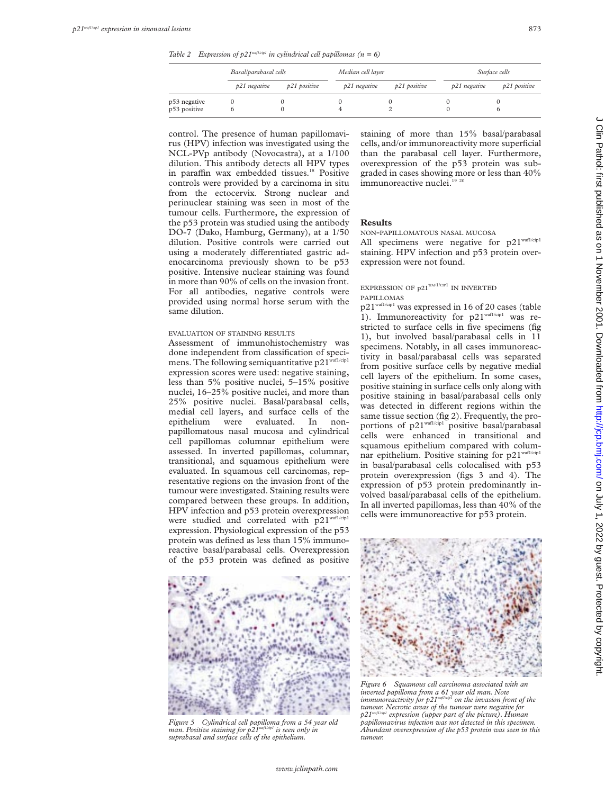*Table 2 Expression of p21<sup>waf1/cip1</sup> in cylindrical cell papillomas* ( $n = 6$ )

|                              | Basal/parabasal cells |              | Median cell layer |              | Surface cells |              |
|------------------------------|-----------------------|--------------|-------------------|--------------|---------------|--------------|
|                              | p21 negative          | p21 positive | p21 negative      | p21 positive | p21 negative  | p21 positive |
| p53 negative<br>p53 positive |                       |              |                   |              |               |              |

control. The presence of human papillomavirus (HPV) infection was investigated using the NCL-PVp antibody (Novocastra), at a 1/100 dilution. This antibody detects all HPV types in paraffin wax embedded tissues.<sup>18</sup> Positive controls were provided by a carcinoma in situ from the ectocervix. Strong nuclear and perinuclear staining was seen in most of the tumour cells. Furthermore, the expression of the p53 protein was studied using the antibody DO-7 (Dako, Hamburg, Germany), at a 1/50 dilution. Positive controls were carried out using a moderately differentiated gastric adenocarcinoma previously shown to be p53 positive. Intensive nuclear staining was found in more than 90% of cells on the invasion front. For all antibodies, negative controls were provided using normal horse serum with the same dilution.

### EVALUATION OF STAINING RESULTS

Assessment of immunohistochemistry was done independent from classification of specimens. The following semiquantitative  $p21^{\frac{waf1/cip1}{waf1/cip1}}$ expression scores were used: negative staining, less than 5% positive nuclei, 5–15% positive nuclei, 16–25% positive nuclei, and more than 25% positive nuclei. Basal/parabasal cells, medial cell layers, and surface cells of the epithelium were evaluated. In nonpapillomatous nasal mucosa and cylindrical cell papillomas columnar epithelium were assessed. In inverted papillomas, columnar, transitional, and squamous epithelium were evaluated. In squamous cell carcinomas, representative regions on the invasion front of the tumour were investigated. Staining results were compared between these groups. In addition, HPV infection and p53 protein overexpression were studied and correlated with p21waf1/cip1 expression. Physiological expression of the p53 protein was defined as less than 15% immunoreactive basal/parabasal cells. Overexpression of the p53 protein was defined as positive



*Figure 5 Cylindrical cell papilloma from a 54 year old man. Positive staining for p21waf1/cip1 is seen only in suprabasal and surface cells of the epithelium.*

staining of more than 15% basal/parabasal cells, and/or immunoreactivity more superficial than the parabasal cell layer. Furthermore, overexpression of the p53 protein was subgraded in cases showing more or less than 40% immunoreactive nuclei.<sup>19 20</sup>

#### **Results**

NON-PAPILLOMATOUS NASAL MUCOSA

All specimens were negative for p21waf1/cip1 staining. HPV infection and p53 protein overexpression were not found.

### EXPRESSION OF  $\text{p21}^{\text{war1/cr1}}$  IN INVERTED PAPILLOMAS

p21waf1/cip1 was expressed in 16 of 20 cases (table 1). Immunoreactivity for p21<sup>waf1/cip1</sup> was restricted to surface cells in five specimens (fig 1), but involved basal/parabasal cells in 11 specimens. Notably, in all cases immunoreactivity in basal/parabasal cells was separated from positive surface cells by negative medial cell layers of the epithelium. In some cases, positive staining in surface cells only along with positive staining in basal/parabasal cells only was detected in different regions within the same tissue section (fig 2). Frequently, the proportions of p21<sup>waf1/cip1</sup> positive basal/parabasal cells were enhanced in transitional and squamous epithelium compared with columnar epithelium. Positive staining for  $p21^{\text{wall/cip1}}$ in basal/parabasal cells colocalised with p53 protein overexpression (figs 3 and 4). The expression of p53 protein predominantly involved basal/parabasal cells of the epithelium. In all inverted papillomas, less than 40% of the cells were immunoreactive for p53 protein.



*Figure 6 Squamous cell carcinoma associated with an inverted papilloma from a 61 year old man. Note immunoreactivity for p21waf1/cip1 on the invasion front of the tumour. Necrotic areas of the tumour were negative for* <sup>p1</sup> expression (upper part of the picture). Human *papillomavirus infection was not detected in this specimen. Abundant overexpression of the p53 protein was seen in this tumour.*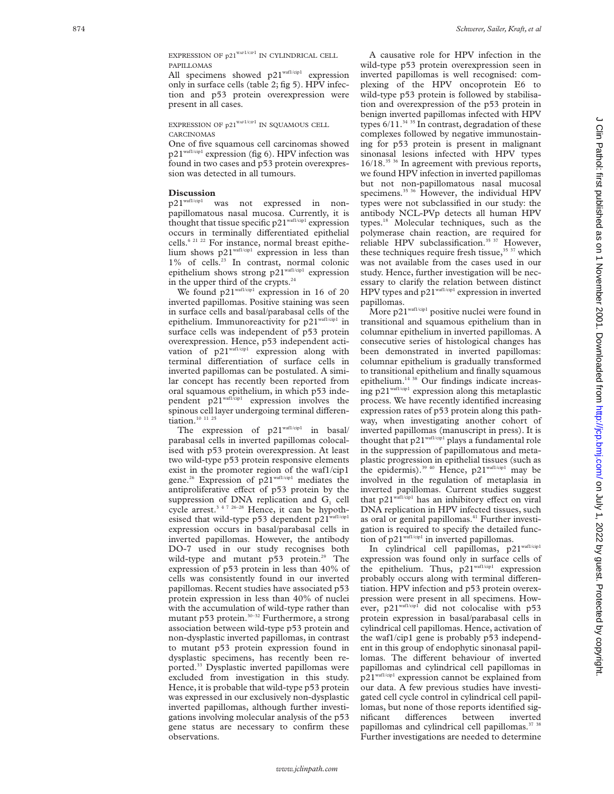EXPRESSION OF  $p21^{WAF1/CH^2}$  IN CYLINDRICAL CELL PAPILLOMAS

All specimens showed  $p21^{\text{waf1/cip1}}$  expression only in surface cells (table 2; fig 5). HPV infection and p53 protein overexpression were present in all cases.

EXPRESSION OF  $p21^{WAF1/CIP1}$  IN SQUAMOUS CELL CARCINOMAS

One of five squamous cell carcinomas showed p21waf1/cip1 expression (fig 6). HPV infection was found in two cases and p53 protein overexpression was detected in all tumours.

#### **Discussion**

p21waf1/cip1 was not expressed in nonpapillomatous nasal mucosa. Currently, it is thought that tissue specific  $p21^{\text{waf1/cip1}}$  expression occurs in terminally differentiated epithelial cells.<sup>6 21 22</sup> For instance, normal breast epithelium shows p21waf1/cip1 expression in less than 1% of cells.<sup>23</sup> In contrast, normal colonic epithelium shows strong  $p21^{\text{waf1/cip1}}$  expression in the upper third of the crypts.<sup>24</sup>

We found p21<sup>waf1/cip1</sup> expression in 16 of 20 inverted papillomas. Positive staining was seen in surface cells and basal/parabasal cells of the epithelium. Immunoreactivity for p21<sup>waf1/cip1</sup> in surface cells was independent of p53 protein overexpression. Hence, p53 independent activation of  $p21^{\text{waf1/cip1}}$  expression along with terminal differentiation of surface cells in inverted papillomas can be postulated. A similar concept has recently been reported from oral squamous epithelium, in which p53 independent p21<sup>waf1/cip1</sup> expression involves the spinous cell layer undergoing terminal differentiation.<sup>10</sup> <sup>11</sup> <sup>25</sup>

The expression of p21<sup>waf1/cip1</sup> in basal/ parabasal cells in inverted papillomas colocalised with p53 protein overexpression. At least two wild-type p53 protein responsive elements exist in the promoter region of the waf1/cip1 gene.26 Expression of p21waf1/cip1 mediates the antiproliferative effect of p53 protein by the suppression of DNA replication and  $G<sub>1</sub>$  cell cycle arrest.<sup>3 4 7 26-28</sup> Hence, it can be hypothesised that wild-type p53 dependent p21waf1/cip1 expression occurs in basal/parabasal cells in inverted papillomas. However, the antibody DO-7 used in our study recognises both wild-type and mutant  $p53$  protein.<sup>29</sup> The expression of p53 protein in less than 40% of cells was consistently found in our inverted papillomas. Recent studies have associated p53 protein expression in less than 40% of nuclei with the accumulation of wild-type rather than mutant p53 protein.<sup>30–32</sup> Furthermore, a strong association between wild-type p53 protein and non-dysplastic inverted papillomas, in contrast to mutant p53 protein expression found in dysplastic specimens, has recently been reported.33 Dysplastic inverted papillomas were excluded from investigation in this study. Hence, it is probable that wild-type p53 protein was expressed in our exclusively non-dysplastic inverted papillomas, although further investigations involving molecular analysis of the p53 gene status are necessary to confirm these observations.

A causative role for HPV infection in the wild-type p53 protein overexpression seen in inverted papillomas is well recognised: complexing of the HPV oncoprotein E6 to wild-type p53 protein is followed by stabilisation and overexpression of the p53 protein in benign inverted papillomas infected with HPV types  $6/11.^{34}$  35 In contrast, degradation of these complexes followed by negative immunostaining for p53 protein is present in malignant sinonasal lesions infected with HPV types 16/18.<sup>35 36</sup> In agreement with previous reports, we found HPV infection in inverted papillomas but not non-papillomatous nasal mucosal specimens.<sup>35</sup> <sup>36</sup> However, the individual HPV types were not subclassified in our study: the antibody NCL-PVp detects all human HPV types.18 Molecular techniques, such as the polymerase chain reaction, are required for reliable HPV subclassification.<sup>35 37</sup> However, these techniques require fresh tissue,<sup>35 37</sup> which was not available from the cases used in our study. Hence, further investigation will be necessary to clarify the relation between distinct HPV types and p21<sup>waf1/cip1</sup> expression in inverted papillomas.

More p21<sup>waf1/cip1</sup> positive nuclei were found in transitional and squamous epithelium than in columnar epithelium in inverted papillomas. A consecutive series of histological changes has been demonstrated in inverted papillomas: columnar epithelium is gradually transformed to transitional epithelium and finally squamous epithelium.14 38 Our findings indicate increasing p21<sup>waf1/cip1</sup> expression along this metaplastic process. We have recently identified increasing expression rates of p53 protein along this pathway, when investigating another cohort of inverted papillomas (manuscript in press). It is thought that p21<sup>waf1/cip1</sup> plays a fundamental role in the suppression of papillomatous and metaplastic progression in epithelial tissues (such as the epidermis).<sup>39 40</sup> Hence, p21<sup>waf1/cip1</sup> may be involved in the regulation of metaplasia in inverted papillomas. Current studies suggest that  $p21^{\text{waf1/cip1}}$  has an inhibitory effect on viral DNA replication in HPV infected tissues, such as oral or genital papillomas.<sup>41</sup> Further investigation is required to specify the detailed function of p21<sup>waf1/cip1</sup> in inverted papillomas.

In cylindrical cell papillomas, p21waf1/cip1 expression was found only in surface cells of the epithelium. Thus, p21<sup>waf1/cip1</sup> expression probably occurs along with terminal differentiation. HPV infection and p53 protein overexpression were present in all specimens. However, p21<sup>waf1/cip1</sup> did not colocalise with p53 protein expression in basal/parabasal cells in cylindrical cell papillomas. Hence, activation of the waf1/cip1 gene is probably p53 independent in this group of endophytic sinonasal papillomas. The different behaviour of inverted papillomas and cylindrical cell papillomas in p21waf1/cip1 expression cannot be explained from our data. A few previous studies have investigated cell cycle control in cylindrical cell papillomas, but none of those reports identified significant differences between inverted papillomas and cylindrical cell papillomas.<sup>37</sup> <sup>38</sup> Further investigations are needed to determine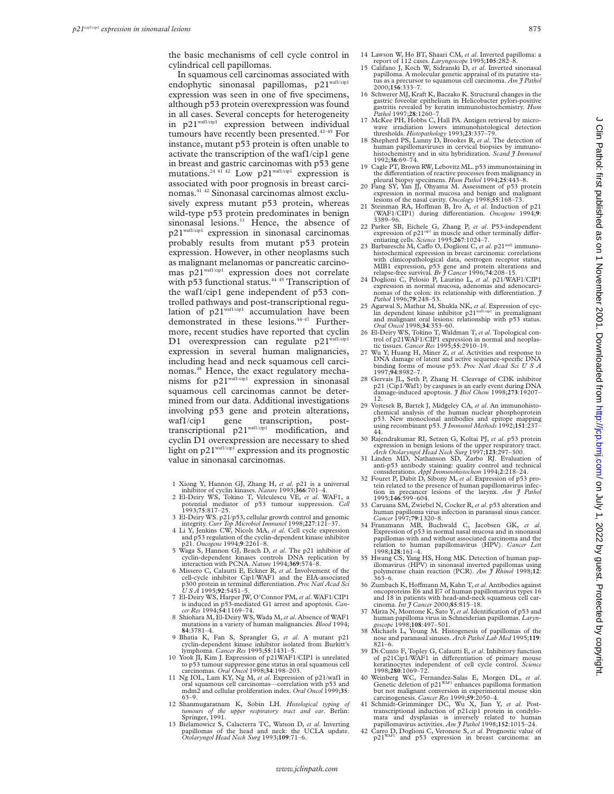In squamous cell carcinomas associated with endophytic sinonasal papillomas, p21waf1/cip1 expression was seen in one of five specimens, although p53 protein overexpression was found in all cases. Several concepts for heterogeneity in p21<sup>waf1/cip1</sup> expression between individual tumours have recently been presented.<sup>42-45</sup> For instance, mutant p53 protein is often unable to activate the transcription of the waf1/cip1 gene in breast and gastric carcinomas with p53 gene mutations.<sup>24 41 42</sup> Low p21<sup>waf1/cip1</sup> expression is associated with poor prognosis in breast carcinomas.41 42 Sinonasal carcinomas almost exclusively express mutant p53 protein, whereas wild-type p53 protein predominates in benign sinonasal lesions.<sup>33</sup> Hence, the absence of p21waf1/cip1 expression in sinonasal carcinomas probably results from mutant p53 protein expression. However, in other neoplasms such as malignant melanomas or pancreatic carcinomas p21waf1/cip1 expression does not correlate with p53 functional status.<sup>44 45</sup> Transcription of the waf1/cip1 gene independent of p53 controlled pathways and post-transcriptional regulation of  $p21^{waf/(cp)}$  accumulation have been demonstrated in these lesions.<sup>44-47</sup> Furthermore, recent studies have reported that cyclin D1 overexpression can regulate p21waf1/cip1 expression in several human malignancies, including head and neck squamous cell carcinomas.<sup>48</sup> Hence, the exact regulatory mechanisms for p21waf1/cip1 expression in sinonasal squamous cell carcinomas cannot be determined from our data. Additional investigations involving p53 gene and protein alterations, waf1/cip1 gene transcription, posttranscriptional p21waf1/cip1 modification, and cyclin D1 overexpression are necessary to shed light on p21waf1/cip1 expression and its prognostic value in sinonasal carcinomas.

- 
- 1 Xiong Y, Hannon GJ, Zhang H, *et al*. p21 is a universal inhibitor of cyclin kinases. *Nature* 1993;**366**:701–4. 2 El-Deiry WS, Tokino T, Velculescu VE, *et al*. WAF1, a potential mediator of p53 tumour suppression. *Cell* 1993;**75**:817–25.
- 3 El-Deiry WS. p21/p53, cellular growth control and genomic integrity. *Curr Top Microbiol Immunol* 1998;**227**:121–37. 4 Li Y, Jenkins CW, Nicols MA, *et al*. Cell cycle expression
- and p53 regulation of the cyclin-dependent kinase inhibitor p21. *Oncogene* 1994;**9**:2261–8.
- 5 Waga S, Hannon GJ, Beach D, *et al*. The p21 inhibitor of cyclin-dependent kinases controls DNA replication by interaction with PCNA. *Nature* 1994;**369**:574–8.
- 6 Missero C, Calautti E, Eckner R, *et al*. Involvement of the cell-cycle inhibitor Cip1/WAF1 and the EIA-associated p300 protein in terminal diVerentiation. *Proc Natl Acad Sci USA* 1995;**92**:5451–5.
- 7 El-Deiry WS, Harper JW, O'Connor PM, *et al*. WAF1/CIP1 is induced in p53-mediated G1 arrest and apoptosis. *Can-cer Res* 1994;**54**:1169–74.
- 8 Shiohara M, El-Deiry WS, Wada M,*et al*. Absence of WAF1 mutations in a variety of human malignancies. *Blood* 1994; **84**:3781–4.
- 9 Bhatia K, Fan S, Sprangler G, *et al*. A mutant p21 cyclin-dependent kinase inhibitor isolated from Burkitt's lymphoma. *Cancer Res* 1995;**55**:1431–5.
- 10 Yook JI, Kim J. Expression of p21WAF1/CIP1 is unrelated to p53 tumour suppressor gene status in oral squamous cell carcinomas. *Oral Oncol* 1998;**34**:198–203.
- 11 Ng IOL, Lam KY, Ng M, *et al*. Expression of p21/waf1 in oral squamous cell carcinomas—correlation with p53 and mdm2 and cellular proliferation index. *Oral Oncol* 1999;**35**: 63–9.
- 12 Shanmugaratnam K, Sobin LH. *Histological typing of tumours of the upper respiratory tract and ear*. Berlin: Springer, 1991.
- 13 Bielamowicz S, Calacterra TC, Watson D, *et al*. Inverting papillomas of the head and neck: the UCLA update. *Otolaryngol Head Neck Surg* 1993;**109**:71–6.
- 14 Lawson W, Ho BT, Shaari CM, *et al*. Inverted papilloma: a report of 112 cases. *Laryngoscope* 1995;**105**:282–8.
- 15 Califano J, Koch W, Sidranski D, *et al*. Inverted sinonasal papilloma. A molecular genetic appraisal of its putative status as a precursor to squamous cell carcinoma. *Am J Pathol* 2000;**156**:333–7.
- 16 Schwerer MJ, Kraft K, Baczako K. Structural changes in the gastric foveolar epithelium in Helicobacter pylori-positive gastritis revealed by keratin immunohistochemistry. *Hum Pathol* 1997;**28**:1260–7.
- 17 McKee PH, Hobbs C, Hall PA. Antigen retrieval by microwave irradiation lowers immunohistological detection
- thresholds. *Histopathology* 1993;**23**:337–79. 18 Shepherd PS, Lunny D, Brookes R, *et al*. The detection of human papillomaviruses in cervical biopsies by immunohistochemistry and in situ hybridization. *Scand J Immunol* 1992;**36**:69–74.
- 19 Cagle PT, Brown RW, Lebovitz ML. p53 immunostaining in the differentiation of reactive processes from malignancy in pleural biopsy specimens. *Hum Pathol* 1994;25:443–8.
- 20 Fang SY, Yan JJ, Ohyama M. Assessment of p53 protein expression in normal mucosa and benign and malignant
- lesions of the nasal cavity. *Oncology* 1998;55:168-73.<br>21 Steinman RA, Hoffman B, Iro A, *et al*. Induction of p21 (WAF1/CIP1) during differentiation. *Oncogene* 1994;9:<br>3389–96.
- 22 Parker SB, Eichele G, Zhang P, *et al.* P53-independent expression of p21<sup>cip1</sup> in muscle and other terminally differentiating cells. *Science* 1995;267:1024–7.<br>23 Barbareschi M, Caffo O, Doglioni C, *et al*. p21<sup>waf1</sup> immuno-
- histochemical expression in breast carcinoma: correlations with clinicopathological data, oestrogen receptor status, MIB1 expression, p53 gene and protein alterations and relapse-free survival. *Br J Cancer* 1996;**74**:208–15.
- 24 Doglioni C, Pelosio P, Laurino L, *et al*. p21/WAF1/CIP1 expression in normal mucosa, adenomas and adenocarcinomas of the colon: its relationship with differentiation. *J* Pathol 1996;79:248-53.
- 25 Agarwal S, Mathur M, Shukla NK, *et al*. Expression of cyc-lin dependent kinase inhibitor p21waf1/cip1 in premalignant and malignant oral lesions: relationship with p53 status. *Oral Oncol* 1998;**34**:353–60.
- 26 El-Deiry WS, Tokino T, Waldman T, *et al*. Topological con-trol of p21WAF1/CIP1 expression in normal and neoplas-
- tic tissues. *Cancer Res* 1995;**55**:2910–19. 27 Wu Y, Huang H, Miner Z, *et al*. Activities and response to DNA damage of latent and active sequence-specific DNA binding forms of mouse p53. *Proc Natl Acad Sci U S A* 1997;**94**:8982–7.
- 28 Gervais JL, Seth P, Zhang H. Cleavage of CDK inhibitor p21 (Cip1/Waf1) by caspases is an early event during DNA damage-induced apoptosis. *J Biol Chem* 1998;**273**:19207– 12.
- 29 Vojtesek B, Bartek J, Midgeley CA, *et al.* An immunohisto-<br>chemical analysis of the human nuclear phosphoprotein<br>p53. New monoclonal antibodies and epitope mapping<br>using recombinant p53. *J Immunol Methods* 1992;151:23 44.
- 30 Rajendrakumar RI, Setzen G, Koltai PJ, *et al*. p53 protein expression in benign lesions of the upper respiratory tract. *Arch Otolaryngol Head Neck Surg* 1997;**123**:297–300. 31 Linden MD, Nathanson SD, Zarbo RJ. Evaluation of
- anti-p53 antibody staining: quality control and technical
- considerations. Appl Immunohistochem 1994;2:218-24.<br>32 Fouret P, Dabit D, Sibony M, et al. Expression of p53 protein related to the presence of human papillomavirus infection in precancer lesions of the larynx. Am  $\hat{J}$ 1995;**146**:599–604.
- 33 Caruana SM, Zwiebel N, Cocker R,*et al*. p53 alteration and human papilloma virus infection in paranasal sinus cancer. *Cancer* 1997;**79**:1320–8.
- 34 Franzmann MB, Buchwald C, Jacobsen GK, *et al*. Expression of p53 in normal nasal mucosa and in sinonasal papillomas with and without associated carcinoma and the relation to human papillomavirus (HPV). *Cancer Lett* 1998;**128**:161–4.
- 35 Hwang CS, Yang HS, Hong MK. Detection of human pap-illomavirus (HPV) in sinonasal inverted papillomas using polymerase chain reaction (PCR). *Am J Rhinol* 1998;**12**: 363–6.
- 36 Zumbach K, Hoffmann M, Kahn T, et al. Antibodies against oncoproteins E6 and E7 of human papillomavirus types 16 and 18 in patients with head-and-neck squamous cell carcinoma. *Int J Cancer* 2000;**85**:815–18.
- 37 Mirza N, Montone K, Sato Y,*et al*. Identification of p53 and human papilloma virus in Schneiderian papillomas. *Laryn-goscope* 1998;**108**:497–501.
- 38 Michaels L, Young M. Histogenesis of papillomas of the nose and paranasal sinuses. *Arch Pathol Lab Med* 1995;**119**: 821–6.
- 39 Di Cunto F, Topley G, Calautti E, *et al*. Inhibitory function of p21Cip1/WAF1 in differentiation of primary mouse<br>keratinocytes independent of cell cycle control. *Science*<br>1998;**280**:1069–72.
- 40 Weinberg WC, Fernandez-Salas E, Morgen DL, *et al.*<br>Genetic deletion of p21<sup>WAF1</sup> enhances papilloma formation<br>but not malignant conversion in experimental mouse skin
- carcinogenesis. *Cancer Res* 1999;59:2050-4.<br>
41 Schmidt-Grimminger DC, Wu X, Jian Y, *et al.* Post-<br>
transcriptional induction of p21cip1 protein in condylo-<br>
mata and dysplasias is inversely related to human<br>
papillomav
- 

Clin Pathol: first published as